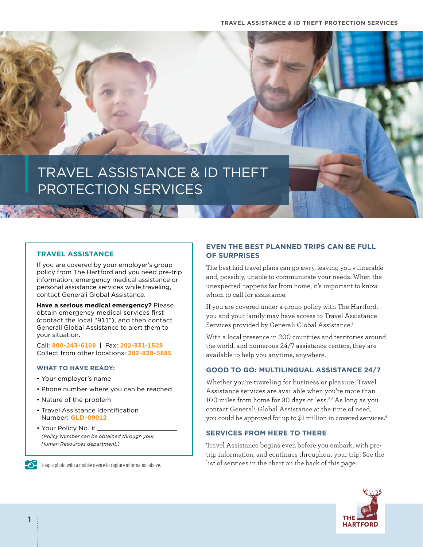

## **TRAVEL ASSISTANCE**

If you are covered by your employer's group policy from The Hartford and you need pre-trip information, emergency medical assistance or personal assistance services while traveling, contact Generali Global Assistance.

**Have a serious medical emergency?** Please obtain emergency medical services first (contact the local "911"), and then contact Generali Global Assistance to alert them to your situation.

Call: **800-243-6108** | Fax: **202-331-1528** Collect from other locations: **202-828-5885**

#### **WHAT TO HAVE READY:**

- Your employer's name
- Phone number where you can be reached
- Nature of the problem
- Travel Assistance Identification Number: **GLD-09012**
- Your Policy No. # *(Policy Number can be obtained through your Human Resources department.)*

**Shap a photo with a mobile device to capture information above.** 

# **EVEN THE BEST PLANNED TRIPS CAN BE FULL OF SURPRISES**

The best laid travel plans can go awry, leaving you vulnerable and, possibly, unable to communicate your needs. When the unexpected happens far from home, it's important to know whom to call for assistance.

If you are covered under a group policy with The Hartford, you and your family may have access to Travel Assistance Services provided by Generali Global Assistance.<sup>1</sup>

With a local presence in 200 countries and territories around the world, and numerous 24/7 assistance centers, they are available to help you anytime, anywhere.

### **GOOD TO GO: MULTILINGUAL ASSISTANCE 24/7**

Whether you're traveling for business or pleasure, Travel Assistance services are available when you're more than 100 miles from home for 90 days or less.<sup>2,3</sup> As long as you contact Generali Global Assistance at the time of need, you could be approved for up to \$1 million in covered services.<sup>4</sup>

# **SERVICES FROM HERE TO THERE**

Travel Assistance begins even before you embark, with pretrip information, and continues throughout your trip. See the list of services in the chart on the back of this page.